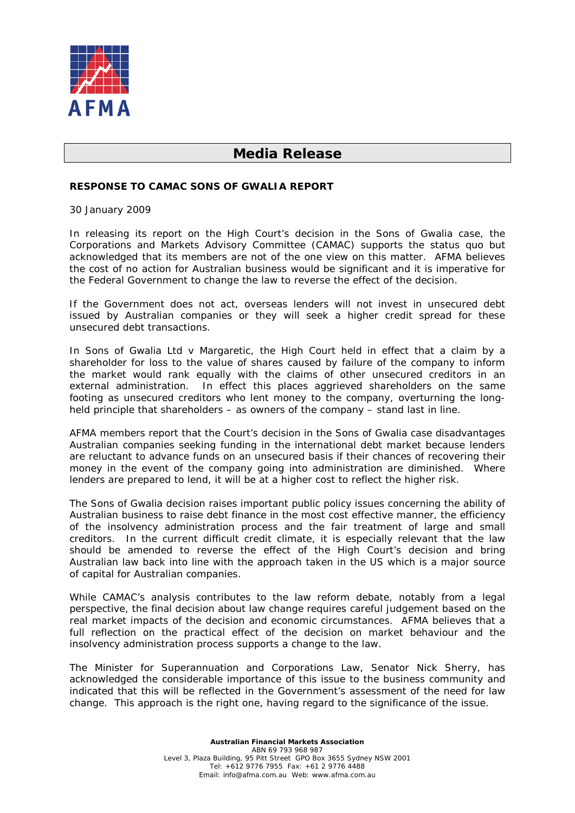

# **Media Release**

## **RESPONSE TO CAMAC SONS OF GWALIA REPORT**

30 January 2009

In releasing its report on the High Court's decision in the *Sons of Gwalia* case, the Corporations and Markets Advisory Committee (CAMAC) supports the status quo but acknowledged that its members are not of the one view on this matter. AFMA believes the cost of no action for Australian business would be significant and it is imperative for the Federal Government to change the law to reverse the effect of the decision.

If the Government does not act, overseas lenders will not invest in unsecured debt issued by Australian companies or they will seek a higher credit spread for these unsecured debt transactions.

In *Sons of Gwalia Ltd v Margaretic*, the High Court held in effect that a claim by a shareholder for loss to the value of shares caused by failure of the company to inform the market would rank equally with the claims of other unsecured creditors in an external administration. In effect this places aggrieved shareholders on the same footing as unsecured creditors who lent money to the company, overturning the longheld principle that shareholders – as owners of the company – stand last in line.

AFMA members report that the Court's decision in the *Sons of Gwalia* case disadvantages Australian companies seeking funding in the international debt market because lenders are reluctant to advance funds on an unsecured basis if their chances of recovering their money in the event of the company going into administration are diminished. Where lenders are prepared to lend, it will be at a higher cost to reflect the higher risk.

The *Sons of Gwalia* decision raises important public policy issues concerning the ability of Australian business to raise debt finance in the most cost effective manner, the efficiency of the insolvency administration process and the fair treatment of large and small creditors. In the current difficult credit climate, it is especially relevant that the law should be amended to reverse the effect of the High Court's decision and bring Australian law back into line with the approach taken in the US which is a major source of capital for Australian companies.

While CAMAC's analysis contributes to the law reform debate, notably from a legal perspective, the final decision about law change requires careful judgement based on the real market impacts of the decision and economic circumstances. AFMA believes that a full reflection on the practical effect of the decision on market behaviour and the insolvency administration process supports a change to the law.

The Minister for Superannuation and Corporations Law, Senator Nick Sherry, has acknowledged the considerable importance of this issue to the business community and indicated that this will be reflected in the Government's assessment of the need for law change. This approach is the right one, having regard to the significance of the issue.